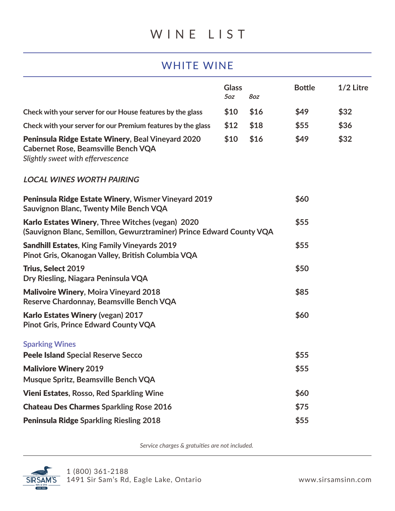## WHITE WINE

|                                                                                                                                      | <b>Glass</b><br>5oz | 8oz  | <b>Bottle</b> | $1/2$ Litre |
|--------------------------------------------------------------------------------------------------------------------------------------|---------------------|------|---------------|-------------|
| Check with your server for our House features by the glass                                                                           | \$10                | \$16 | \$49          | \$32        |
| Check with your server for our Premium features by the glass                                                                         | \$12                | \$18 | \$55          | \$36        |
| Peninsula Ridge Estate Winery, Beal Vineyard 2020<br><b>Cabernet Rose, Beamsville Bench VQA</b><br>Slightly sweet with effervescence | \$10                | \$16 | \$49          | \$32        |
| <b>LOCAL WINES WORTH PAIRING</b>                                                                                                     |                     |      |               |             |
| Peninsula Ridge Estate Winery, Wismer Vineyard 2019<br><b>Sauvignon Blanc, Twenty Mile Bench VQA</b>                                 |                     |      | \$60          |             |
| Karlo Estates Winery, Three Witches (vegan) 2020<br>(Sauvignon Blanc, Semillon, Gewurztraminer) Prince Edward County VQA             |                     |      | \$55          |             |
| <b>Sandhill Estates, King Family Vineyards 2019</b><br>Pinot Gris, Okanogan Valley, British Columbia VQA                             |                     |      | \$55          |             |
| <b>Trius, Select 2019</b><br>Dry Riesling, Niagara Peninsula VQA                                                                     |                     |      | \$50          |             |
| <b>Malivoire Winery, Moira Vineyard 2018</b><br>Reserve Chardonnay, Beamsville Bench VQA                                             |                     |      | \$85          |             |
| <b>Karlo Estates Winery (vegan) 2017</b><br><b>Pinot Gris, Prince Edward County VQA</b>                                              |                     |      | \$60          |             |
| <b>Sparking Wines</b>                                                                                                                |                     |      |               |             |
| <b>Peele Island Special Reserve Secco</b>                                                                                            |                     |      | \$55          |             |
| <b>Maliviore Winery 2019</b><br>Musque Spritz, Beamsville Bench VQA                                                                  |                     |      | \$55          |             |
| <b>Vieni Estates, Rosso, Red Sparkling Wine</b>                                                                                      |                     |      | \$60          |             |
| <b>Chateau Des Charmes Sparkling Rose 2016</b>                                                                                       |                     |      | \$75          |             |
| <b>Peninsula Ridge Sparkling Riesling 2018</b>                                                                                       |                     |      | \$55          |             |

*Service charges & gratuities are not included.*